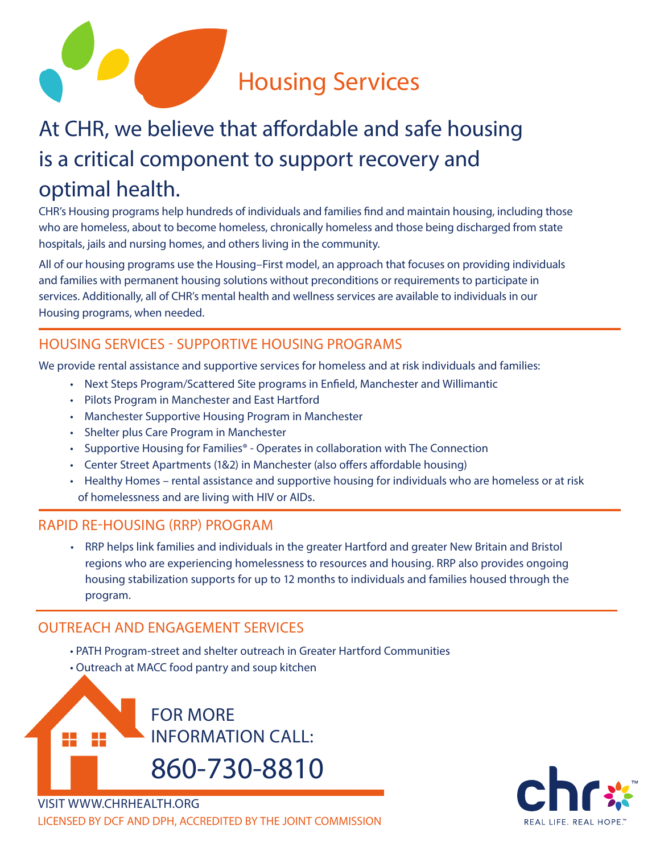

# At CHR, we believe that affordable and safe housing is a critical component to support recovery and optimal health.

CHR's Housing programs help hundreds of individuals and families find and maintain housing, including those who are homeless, about to become homeless, chronically homeless and those being discharged from state hospitals, jails and nursing homes, and others living in the community.

All of our housing programs use the Housing–First model, an approach that focuses on providing individuals and families with permanent housing solutions without preconditions or requirements to participate in services. Additionally, all of CHR's mental health and wellness services are available to individuals in our Housing programs, when needed.

# HOUSING SERVICES - SUPPORTIVE HOUSING PROGRAMS

We provide rental assistance and supportive services for homeless and at risk individuals and families:

- Next Steps Program/Scattered Site programs in Enfield, Manchester and Willimantic
- Pilots Program in Manchester and East Hartford
- Manchester Supportive Housing Program in Manchester
- Shelter plus Care Program in Manchester
- Supportive Housing for Families® Operates in collaboration with The Connection
- Center Street Apartments (1&2) in Manchester (also offers affordable housing)
- Healthy Homes rental assistance and supportive housing for individuals who are homeless or at risk of homelessness and are living with HIV or AIDs.

### RAPID RE-HOUSING (RRP) PROGRAM

• RRP helps link families and individuals in the greater Hartford and greater New Britain and Bristol regions who are experiencing homelessness to resources and housing. RRP also provides ongoing housing stabilization supports for up to 12 months to individuals and families housed through the program.

# OUTREACH AND ENGAGEMENT SERVICES

- PATH Program-street and shelter outreach in Greater Hartford Communities
- Outreach at MACC food pantry and soup kitchen